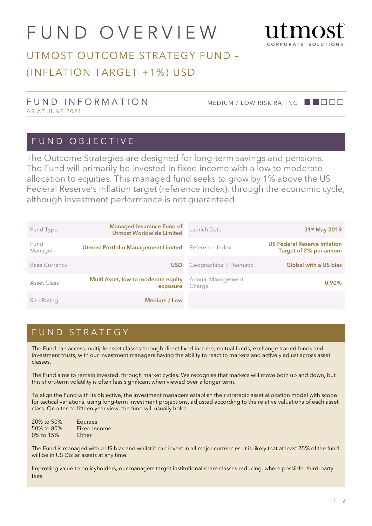# FUND OVERVIEW



# UTMOST OUTCOME STRATEGY FUND – (INFLATION TARGET +1%) USD

#### FUND INFORMATION MEDIUM / LOW RISK RATING ■■□□□ AS AT JUNE 2021

#### FUND OBJECTIVE

The Outcome Strategies are designed for long-term savings and pensions. The Fund will primarily be invested in fixed income with a low to moderate allocation to equities. This managed fund seeks to grow by 1% above the US Federal Reserve's inflation target (reference index), through the economic cycle, although investment performance is not guaranteed.

| Fund Type            | <b>Managed Insurance Fund of</b><br><b>Utmost Worldwide Limited</b> | Launch Date                 | 31 <sup>st</sup> May 2019                                     |
|----------------------|---------------------------------------------------------------------|-----------------------------|---------------------------------------------------------------|
| Fund<br>Manager      | <b>Utmost Portfolio Management Limited</b>                          | Reference Index             | <b>US Federal Reserve Inflation</b><br>Target of 2% per annum |
| <b>Base Currency</b> | <b>USD</b>                                                          | Geographical / Thematic     | <b>Global with a US bias</b>                                  |
| Asset Class          | Multi Asset, low to moderate equity<br>exposure                     | Annual Management<br>Charge | $0.90\%$                                                      |
| Risk Rating          | Medium / Low                                                        |                             |                                                               |

#### FUND STRATEGY

The Fund can access multiple asset classes through direct fixed income, mutual funds, exchange traded funds and investment trusts, with our investment managers having the ability to react to markets and actively adjust across asset classes.

The Fund aims to remain invested, through market cycles. We recognise that markets will move both up and down, but this short-term volatility is often less significant when viewed over a longer term.

To align the Fund with its objective, the investment managers establish their strategic asset allocation model with scope for tactical variations, using long-term investment projections, adjusted according to the relative valuations of each asset class. On a ten to fifteen year view, the fund will usually hold:

| 20% to 50% | <b>Equities</b>     |
|------------|---------------------|
| 50% to 80% | <b>Fixed Income</b> |
| 0% to 15%  | Other               |

The Fund is managed with a US bias and whilst it can invest in all major currencies, it is likely that at least 75% of the fund will be in US Dollar assets at any time.

Improving value to policyholders, our managers target institutional share classes reducing, where possible, third-party fees.